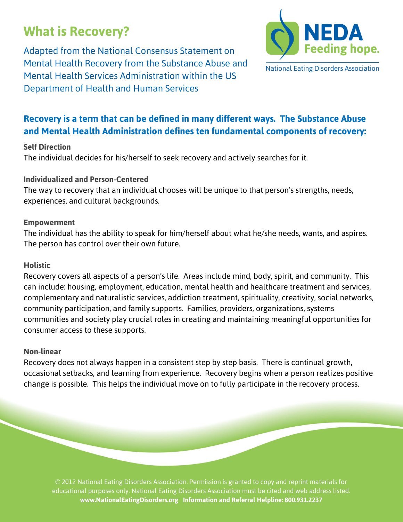# **What is Recovery?**

Adapted from the National Consensus Statement on Mental Health Recovery from the Substance Abuse and Mental Health Services Administration within the US Department of Health and Human Services



# **Recovery is a term that can be defined in many different ways. The Substance Abuse and Mental Health Administration defines ten fundamental components of recovery:**

# **Self Direction**

The individual decides for his/herself to seek recovery and actively searches for it.

# **Individualized and Person-Centered**

The way to recovery that an individual chooses will be unique to that person's strengths, needs, experiences, and cultural backgrounds.

### **Empowerment**

The individual has the ability to speak for him/herself about what he/she needs, wants, and aspires. The person has control over their own future.

## **Holistic**

Recovery covers all aspects of a person's life. Areas include mind, body, spirit, and community. This can include: housing, employment, education, mental health and healthcare treatment and services, complementary and naturalistic services, addiction treatment, spirituality, creativity, social networks, community participation, and family supports. Families, providers, organizations, systems communities and society play crucial roles in creating and maintaining meaningful opportunities for consumer access to these supports.

#### **Non-linear**

Recovery does not always happen in a consistent step by step basis. There is continual growth, occasional setbacks, and learning from experience. Recovery begins when a person realizes positive change is possible. This helps the individual move on to fully participate in the recovery process.

© 2012 National Eating Disorders Association. Permission is granted to copy and reprint materials for educational purposes only. National Eating Disorders Association must be cited and web address listed. **www.NationalEatingDisorders.org Information and Referral Helpline: 800.931.2237**